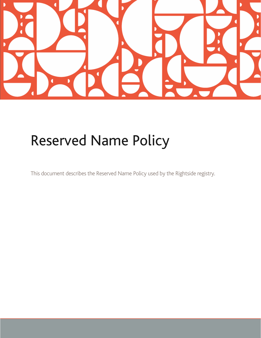

# Reserved Name Policy

This document describes the Reserved Name Policy used by the Rightside registry.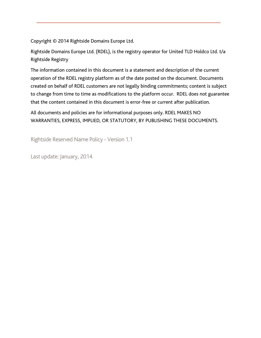Copyright © 2014 Rightside Domains Europe Ltd.

Rightside Domains Europe Ltd. (RDEL), is the registry operator for United TLD Holdco Ltd. t/a Rightside Registry

The information contained in this document is a statement and description of the current operation of the RDEL registry platform as of the date posted on the document. Documents created on behalf of RDEL customers are not legally binding commitments; content is subject to change from time to time as modifications to the platform occur. RDEL does not guarantee that the content contained in this document is error-free or current after publication.

All documents and policies are for informational purposes only. RDEL MAKES NO WARRANTIES, EXPRESS, IMPLIED, OR STATUTORY, BY PUBLISHING THESE DOCUMENTS.

Rightside Reserved Name Policy - Version 1.1

Last update: January, 2014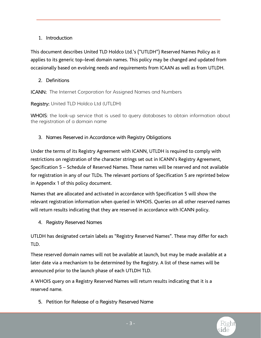# 1. Introduction

This document describes United TLD Holdco Ltd.'s ("UTLDH") Reserved Names Policy as it applies to its generic top–level domain names. This policy may be changed and updated from occasionally based on evolving needs and requirements from ICAAN as well as from UTLDH.

## 2. Definitions

ICANN: The Internet Corporation for Assigned Names and Numbers

Registry: United TLD Holdco Ltd (UTLDH)

WHOIS: the look-up service that is used to query databases to obtain information about the registration of a domain name

### 3. Names Reserved in Accordance with Registry Obligations

Under the terms of its Registry Agreement with ICANN, UTLDH is required to comply with restrictions on registration of the character strings set out in ICANN's Registry Agreement, Specification 5 – Schedule of Reserved Names. These names will be reserved and not available for registration in any of our TLDs. The relevant portions of Specification 5 are reprinted below in Appendix 1 of this policy document.

Names that are allocated and activated in accordance with Specification 5 will show the relevant registration information when queried in WHOIS. Queries on all other reserved names will return results indicating that they are reserved in accordance with ICANN policy.

#### 4. Registry Reserved Names

UTLDH has designated certain labels as "Registry Reserved Names". These may differ for each TLD.

These reserved domain names will not be available at launch, but may be made available at a later date via a mechanism to be determined by the Registry. A list of these names will be announced prior to the launch phase of each UTLDH TLD.

A WHOIS query on a Registry Reserved Names will return results indicating that it is a reserved name.

5. Petition for Release of a Registry Reserved Name

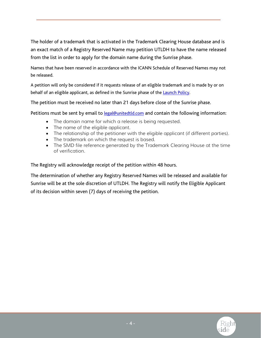The holder of a trademark that is activated in the Trademark Clearing House database and is an exact match of a Registry Reserved Name may petition UTLDH to have the name released from the list in order to apply for the domain name during the Sunrise phase.

Names that have been reserved in accordance with the ICANN Schedule of Reserved Names may not be released.

A petition will only be considered if it requests release of an eligible trademark and is made by or on behalf of an eligible applicant, as defined in the Sunrise phase of the Launch Policy.

The petition must be received no later than 21 days before close of the Sunrise phase.

Petitions must be sent by email to [legal@unitedtld.com](mailto:legal@unitedtld.com) and contain the following information:

- The domain name for which a release is being requested.
- The name of the eligible applicant.
- The relationship of the petitioner with the eligible applicant (if different parties).
- The trademark on which the request is based.
- The SMD file reference generated by the Trademark Clearing House at the time of verification.

The Registry will acknowledge receipt of the petition within 48 hours.

The determination of whether any Registry Reserved Names will be released and available for Sunrise will be at the sole discretion of UTLDH. The Registry will notify the Eligible Applicant of its decision within seven (7) days of receiving the petition.

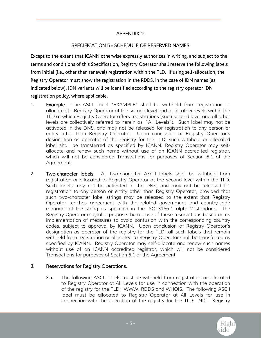#### APPENDIX 1:

#### SPECIFICATION 5 - SCHEDULE OF RESERVED NAMES

Except to the extent that ICANN otherwise expressly authorizes in writing, and subject to the terms and conditions of this Specification, Registry Operator shall reserve the following labels from initial (i.e., other than renewal) registration within the TLD. If using self-allocation, the Registry Operator must show the registration in the RDDS. In the case of IDN names (as indicated below), IDN variants will be identified according to the registry operator IDN registration policy, where applicable.

- 1. Example. The ASCII label "EXAMPLE" shall be withheld from registration or allocated to Registry Operator at the second level and at all other levels within the TLD at which Registry Operator offers registrations (such second level and all other levels are collectively referred to herein as, "All Levels"). Such label may not be activated in the DNS, and may not be released for registration to any person or entity other than Registry Operator. Upon conclusion of Registry Operator's designation as operator of the registry for the TLD, such withheld or allocated label shall be transferred as specified by ICANN. Registry Operator may selfallocate and renew such name without use of an ICANN accredited registrar, which will not be considered Transactions for purposes of Section 6.1 of the Agreement.
- 2. Two-character labels. All two-character ASCII labels shall be withheld from registration or allocated to Registry Operator at the second level within the TLD. Such labels may not be activated in the DNS, and may not be released for registration to any person or entity other than Registry Operator, provided that such two-character label strings may be released to the extent that Registry Operator reaches agreement with the related government and country-code manager of the string as specified in the ISO 3166-1 alpha-2 standard. The Registry Operator may also propose the release of these reservations based on its implementation of measures to avoid confusion with the corresponding country codes, subject to approval by ICANN. Upon conclusion of Registry Operator's designation as operator of the registry for the TLD, all such labels that remain withheld from registration or allocated to Registry Operator shall be transferred as specified by ICANN. Registry Operator may self-allocate and renew such names without use of an ICANN accredited registrar, which will not be considered Transactions for purposes of Section 6.1 of the Agreement.

#### 3. Reservations for Registry Operations.

3.a. The following ASCII labels must be withheld from registration or allocated to Registry Operator at All Levels for use in connection with the operation of the registry for the TLD: WWW, RDDS and WHOIS. The following ASCII label must be allocated to Registry Operator at All Levels for use in connection with the operation of the registry for the TLD: NIC. Registry

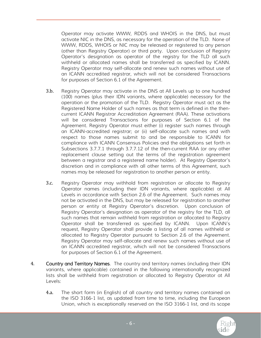Operator may activate WWW, RDDS and WHOIS in the DNS, but must activate NIC in the DNS, as necessary for the operation of the TLD. None of WWW, RDDS, WHOIS or NIC may be released or registered to any person (other than Registry Operator) or third party. Upon conclusion of Registry Operator's designation as operator of the registry for the TLD all such withheld or allocated names shall be transferred as specified by ICANN. Registry Operator may self-allocate and renew such names without use of an ICANN accredited registrar, which will not be considered Transactions for purposes of Section 6.1 of the Agreement.

- 3.b. Registry Operator may activate in the DNS at All Levels up to one hundred (100) names (plus their IDN variants, where applicable) necessary for the operation or the promotion of the TLD. Registry Operator must act as the Registered Name Holder of such names as that term is defined in the thencurrent ICANN Registrar Accreditation Agreement (RAA). These activations will be considered Transactions for purposes of Section 6.1 of the Agreement. Registry Operator must either (i) register such names through an ICANN-accredited registrar; or (ii) self-allocate such names and with respect to those names submit to and be responsible to ICANN for compliance with ICANN Consensus Policies and the obligations set forth in Subsections 3.7.7.1 through 3.7.7.12 of the then-current RAA (or any other replacement clause setting out the terms of the registration agreement between a registrar and a registered name holder). At Registry Operator's discretion and in compliance with all other terms of this Agreement, such names may be released for registration to another person or entity.
- 3.c. Registry Operator may withhold from registration or allocate to Registry Operator names (including their IDN variants, where applicable) at All Levels in accordance with Section 2.6 of the Agreement. Such names may not be activated in the DNS, but may be released for registration to another person or entity at Registry Operator's discretion. Upon conclusion of Registry Operator's designation as operator of the registry for the TLD, all such names that remain withheld from registration or allocated to Registry Operator shall be transferred as specified by ICANN. Upon ICANN's request, Registry Operator shall provide a listing of all names withheld or allocated to Registry Operator pursuant to Section 2.6 of the Agreement. Registry Operator may self-allocate and renew such names without use of an ICANN accredited registrar, which will not be considered Transactions for purposes of Section 6.1 of the Agreement.
- 4. Country and Territory Names. The country and territory names (including their IDN variants, where applicable) contained in the following internationally recognized lists shall be withheld from registration or allocated to Registry Operator at All Levels:
	- 4.a. The short form (in English) of all country and territory names contained on the ISO 3166-1 list, as updated from time to time, including the European Union, which is exceptionally reserved on the ISO 3166-1 list, and its scope

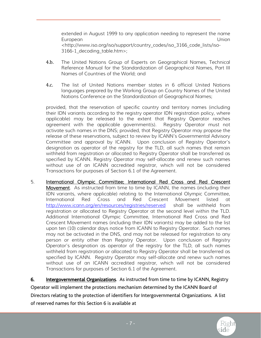extended in August 1999 to any application needing to represent the name European Union <http://www.iso.org/iso/support/country\_codes/iso\_3166\_code\_lists/iso-3166-1\_decoding\_table.htm>;

- 4.b. The United Nations Group of Experts on Geographical Names, Technical Reference Manual for the Standardization of Geographical Names, Part III Names of Countries of the World; and
- 4.c. The list of United Nations member states in 6 official United Nations languages prepared by the Working Group on Country Names of the United Nations Conference on the Standardization of Geographical Names;

provided, that the reservation of specific country and territory names (including their IDN variants according to the registry operator IDN registration policy, where applicable) may be released to the extent that Registry Operator reaches agreement with the applicable government(s). Registry Operator must not activate such names in the DNS; provided, that Registry Operator may propose the release of these reservations, subject to review by ICANN's Governmental Advisory Committee and approval by ICANN. Upon conclusion of Registry Operator's designation as operator of the registry for the TLD, all such names that remain withheld from registration or allocated to Registry Operator shall be transferred as specified by ICANN. Registry Operator may self-allocate and renew such names without use of an ICANN accredited registrar, which will not be considered Transactions for purposes of Section 6.1 of the Agreement.

5. International Olympic Committee; International Red Cross and Red Crescent Movement. As instructed from time to time by ICANN, the names (including their IDN variants, where applicable) relating to the International Olympic Committee, International Red Cross and Red Crescent Movement listed at <http://www.icann.org/en/resources/registries/reserved> shall be withheld from registration or allocated to Registry Operator at the second level within the TLD. Additional International Olympic Committee, International Red Cross and Red Crescent Movement names (including their IDN variants) may be added to the list upon ten (10) calendar days notice from ICANN to Registry Operator. Such names may not be activated in the DNS, and may not be released for registration to any person or entity other than Registry Operator. Upon conclusion of Registry Operator's designation as operator of the registry for the TLD, all such names withheld from registration or allocated to Registry Operator shall be transferred as specified by ICANN. Registry Operator may self-allocate and renew such names without use of an ICANN accredited registrar, which will not be considered Transactions for purposes of Section 6.1 of the Agreement.

#### 6. Intergovernmental Organizations. As instructed from time to time by ICANN, Registry

Operator will implement the protections mechanism determined by the ICANN Board of Directors relating to the protection of identifiers for Intergovernmental Organizations. A list of reserved names for this Section 6 is available at